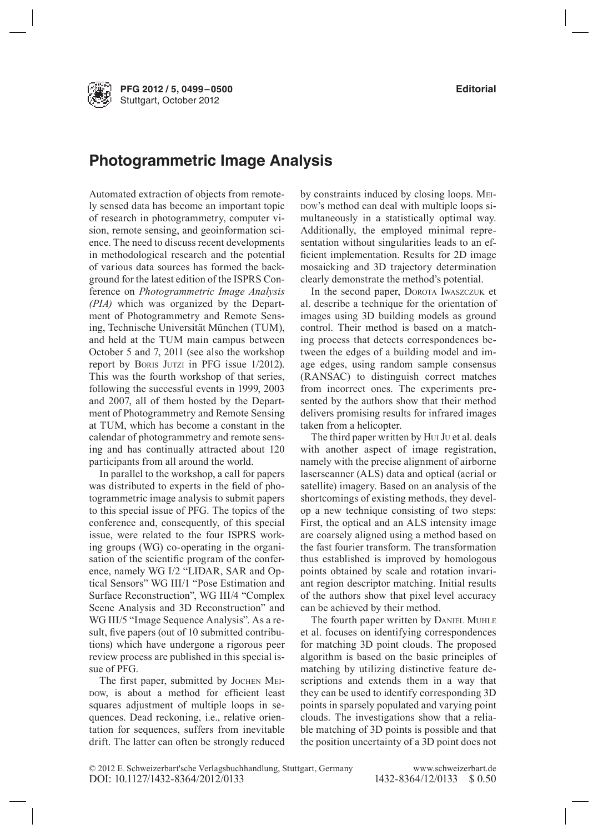**PFG 2012 / 5, 0499–0500 Editorial** Stuttgart, October 2012

## **Photogrammetric Image Analysis**

Automated extraction of objects from remotely sensed data has become an important topic of research in photogrammetry, computer vision, remote sensing, and geoinformation science. The need to discuss recent developments in methodological research and the potential of various data sources has formed the background for the latest edition of the ISPRS Conference on *Photogrammetric Image Analysis (PIA)* which was organized by the Department of Photogrammetry and Remote Sensing, Technische Universität München (TUM), and held at the TUM main campus between October 5 and 7, 2011 (see also the workshop report by Boris Jutzi in PFG issue 1/2012). This was the fourth workshop of that series, following the successful events in 1999, 2003 and 2007, all of them hosted by the Department of Photogrammetry and Remote Sensing at TUM, which has become a constant in the calendar of photogrammetry and remote sensing and has continually attracted about 120 participants from all around the world.

In parallel to the workshop, a call for papers was distributed to experts in the field of photogrammetric image analysis to submit papers to this special issue of PFG. The topics of the conference and, consequently, of this special issue, were related to the four ISPRS working groups (WG) co-operating in the organisation of the scientific program of the conference, namely WG I/2 "LIDAR, SAR and Optical Sensors" WG III/1 "Pose Estimation and Surface Reconstruction", WG III/4 "Complex Scene Analysis and 3D Reconstruction" and WG III/5 "Image Sequence Analysis". As a result, five papers (out of 10 submitted contributions) which have undergone a rigorous peer review process are published in this special issue of PFG.

The first paper, submitted by JOCHEN MEIpow, is about a method for efficient least squares adjustment of multiple loops in sequences. Dead reckoning, i.e., relative orientation for sequences, suffers from inevitable drift. The latter can often be strongly reduced

by constraints induced by closing loops. Meipow's method can deal with multiple loops simultaneously in a statistically optimal way. Additionally, the employed minimal representation without singularities leads to an efficient implementation. Results for 2D image mosaicking and 3D trajectory determination clearly demonstrate the method's potential.

In the second paper, DOROTA IWASZCZUK et al. describe a technique for the orientation of images using 3D building models as ground control. Their method is based on a matching process that detects correspondences between the edges of a building model and image edges, using random sample consensus (RANSAC) to distinguish correct matches from incorrect ones. The experiments presented by the authors show that their method delivers promising results for infrared images taken from a helicopter.

The third paper written by Hui J<sup>u</sup> et al. deals with another aspect of image registration, namely with the precise alignment of airborne laserscanner (ALS) data and optical (aerial or satellite) imagery. Based on an analysis of the shortcomings of existing methods, they develop a new technique consisting of two steps: First, the optical and an ALS intensity image are coarsely aligned using a method based on the fast fourier transform. The transformation thus established is improved by homologous points obtained by scale and rotation invariant region descriptor matching. Initial results of the authors show that pixel level accuracy can be achieved by their method.

The fourth paper written by DANIEL MUHLE et al. focuses on identifying correspondences for matching 3D point clouds. The proposed algorithm is based on the basic principles of matching by utilizing distinctive feature descriptions and extends them in a way that they can be used to identify corresponding 3D points in sparsely populated and varying point clouds. The investigations show that a reliable matching of 3D points is possible and that the position uncertainty of a 3D point does not